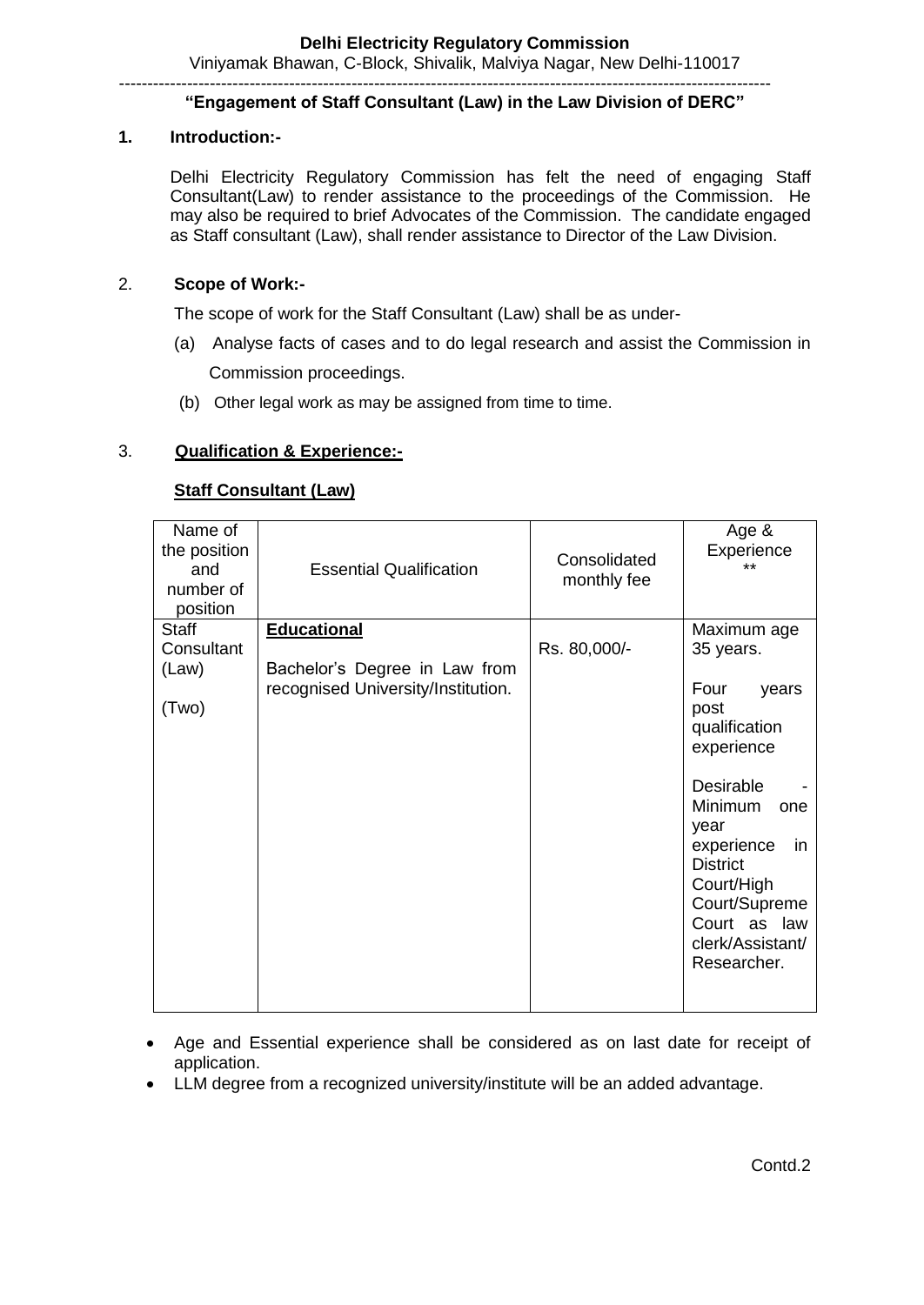Viniyamak Bhawan, C-Block, Shivalik, Malviya Nagar, New Delhi-110017 -------------------------------------------------------------------------------------------------------------------

## **"Engagement of Staff Consultant (Law) in the Law Division of DERC"**

### **1. Introduction:-**

Delhi Electricity Regulatory Commission has felt the need of engaging Staff Consultant(Law) to render assistance to the proceedings of the Commission. He may also be required to brief Advocates of the Commission. The candidate engaged as Staff consultant (Law), shall render assistance to Director of the Law Division.

### 2. **Scope of Work:-**

The scope of work for the Staff Consultant (Law) shall be as under-

- (a) Analyse facts of cases and to do legal research and assist the Commission in Commission proceedings.
- (b) Other legal work as may be assigned from time to time.

### 3. **Qualification & Experience:-**

### **Staff Consultant (Law)**

| Name of<br>the position<br>and<br>number of<br>position | <b>Essential Qualification</b>     | Consolidated<br>monthly fee | Age &<br>Experience<br>$***$ |
|---------------------------------------------------------|------------------------------------|-----------------------------|------------------------------|
| <b>Staff</b>                                            | <b>Educational</b>                 |                             | Maximum age                  |
| Consultant                                              |                                    | Rs. 80,000/-                | 35 years.                    |
| (Law)                                                   | Bachelor's Degree in Law from      |                             |                              |
|                                                         | recognised University/Institution. |                             | Four<br>years                |
| (Two)                                                   |                                    |                             | post                         |
|                                                         |                                    |                             | qualification                |
|                                                         |                                    |                             | experience                   |
|                                                         |                                    |                             |                              |
|                                                         |                                    |                             | <b>Desirable</b>             |
|                                                         |                                    |                             | Minimum<br>one               |
|                                                         |                                    |                             | year                         |
|                                                         |                                    |                             | experience<br>in.            |
|                                                         |                                    |                             | <b>District</b>              |
|                                                         |                                    |                             | Court/High                   |
|                                                         |                                    |                             | Court/Supreme                |
|                                                         |                                    |                             | Court as law                 |
|                                                         |                                    |                             | clerk/Assistant/             |
|                                                         |                                    |                             | Researcher.                  |
|                                                         |                                    |                             |                              |
|                                                         |                                    |                             |                              |

- Age and Essential experience shall be considered as on last date for receipt of application.
- LLM degree from a recognized university/institute will be an added advantage.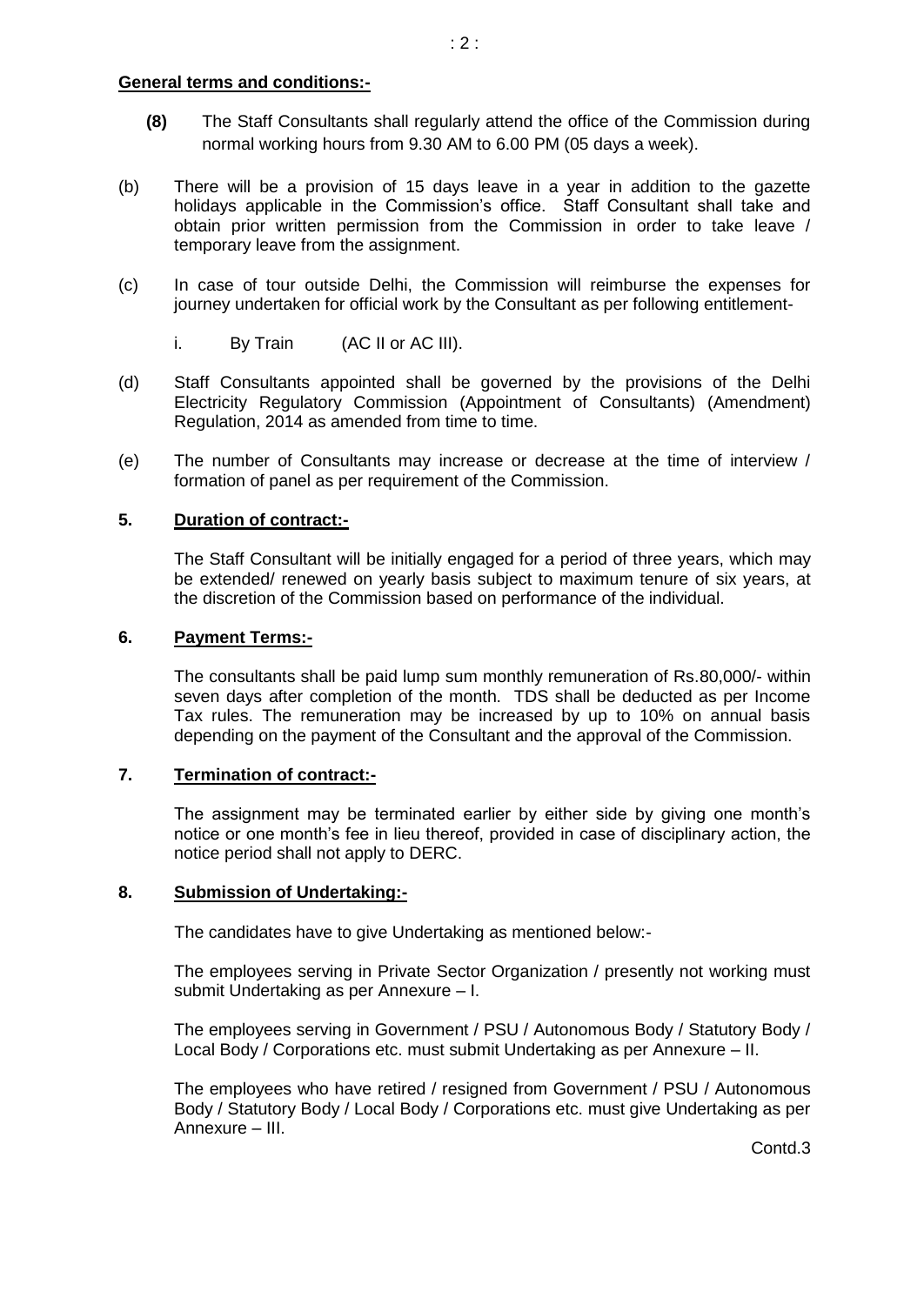#### **General terms and conditions:-**

- **(8)** The Staff Consultants shall regularly attend the office of the Commission during normal working hours from 9.30 AM to 6.00 PM (05 days a week).
- (b) There will be a provision of 15 days leave in a year in addition to the gazette holidays applicable in the Commission's office. Staff Consultant shall take and obtain prior written permission from the Commission in order to take leave / temporary leave from the assignment.
- (c) In case of tour outside Delhi, the Commission will reimburse the expenses for journey undertaken for official work by the Consultant as per following entitlement
	- i. By Train (AC II or AC III).
- (d) Staff Consultants appointed shall be governed by the provisions of the Delhi Electricity Regulatory Commission (Appointment of Consultants) (Amendment) Regulation, 2014 as amended from time to time.
- (e) The number of Consultants may increase or decrease at the time of interview / formation of panel as per requirement of the Commission.

## **5. Duration of contract:-**

The Staff Consultant will be initially engaged for a period of three years, which may be extended/ renewed on yearly basis subject to maximum tenure of six years, at the discretion of the Commission based on performance of the individual.

## **6. Payment Terms:-**

The consultants shall be paid lump sum monthly remuneration of Rs.80,000/- within seven days after completion of the month. TDS shall be deducted as per Income Tax rules. The remuneration may be increased by up to 10% on annual basis depending on the payment of the Consultant and the approval of the Commission.

## **7. Termination of contract:-**

The assignment may be terminated earlier by either side by giving one month's notice or one month's fee in lieu thereof, provided in case of disciplinary action, the notice period shall not apply to DERC.

## **8. Submission of Undertaking:-**

The candidates have to give Undertaking as mentioned below:-

The employees serving in Private Sector Organization / presently not working must submit Undertaking as per Annexure – I.

The employees serving in Government / PSU / Autonomous Body / Statutory Body / Local Body / Corporations etc. must submit Undertaking as per Annexure – II.

The employees who have retired / resigned from Government / PSU / Autonomous Body / Statutory Body / Local Body / Corporations etc. must give Undertaking as per Annexure – III.

Contd.3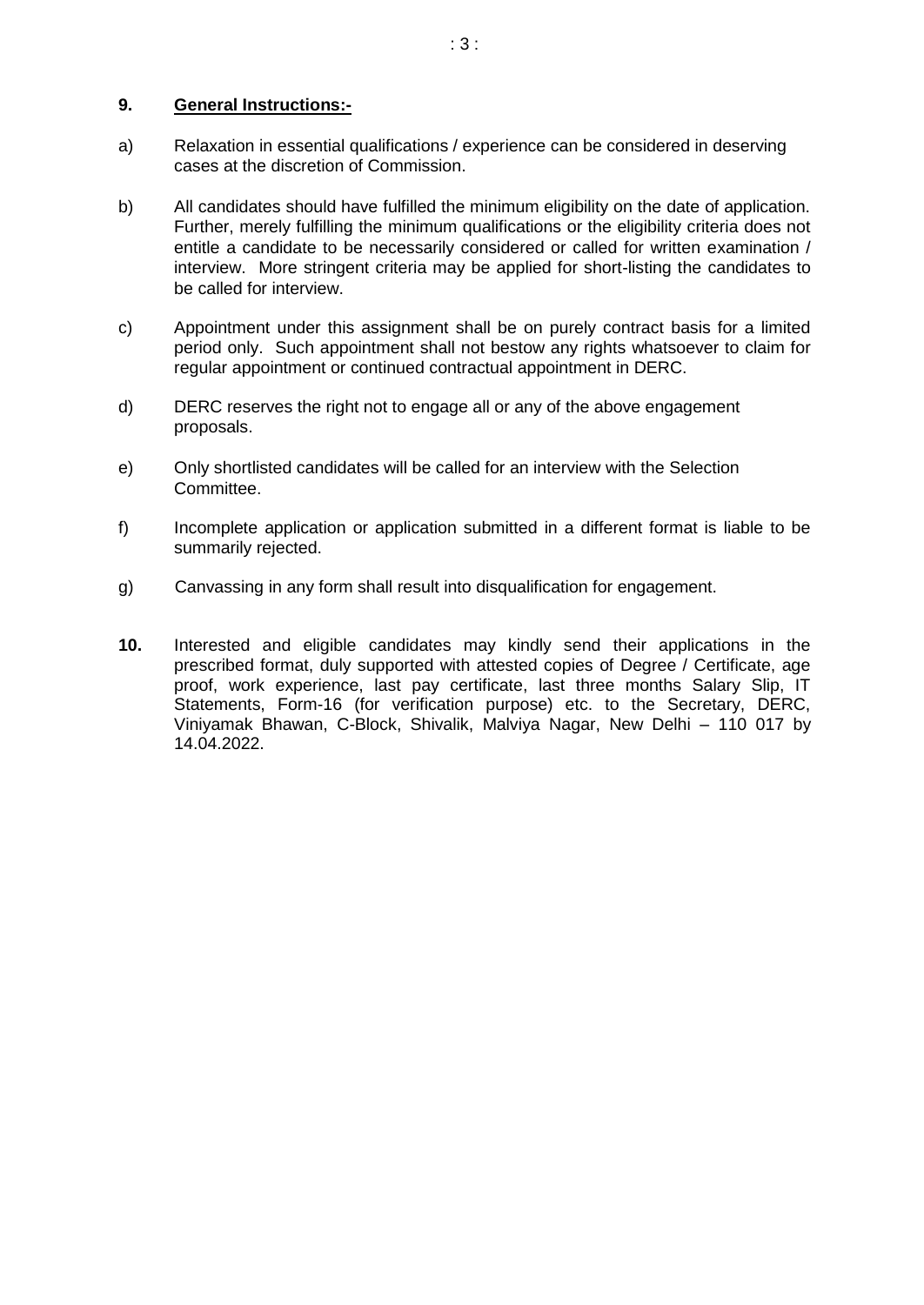### **9. General Instructions:-**

- a) Relaxation in essential qualifications / experience can be considered in deserving cases at the discretion of Commission.
- b) All candidates should have fulfilled the minimum eligibility on the date of application. Further, merely fulfilling the minimum qualifications or the eligibility criteria does not entitle a candidate to be necessarily considered or called for written examination / interview. More stringent criteria may be applied for short-listing the candidates to be called for interview.
- c) Appointment under this assignment shall be on purely contract basis for a limited period only. Such appointment shall not bestow any rights whatsoever to claim for regular appointment or continued contractual appointment in DERC.
- d) DERC reserves the right not to engage all or any of the above engagement proposals.
- e) Only shortlisted candidates will be called for an interview with the Selection Committee.
- f) Incomplete application or application submitted in a different format is liable to be summarily rejected.
- g) Canvassing in any form shall result into disqualification for engagement.
- **10.** Interested and eligible candidates may kindly send their applications in the prescribed format, duly supported with attested copies of Degree / Certificate, age proof, work experience, last pay certificate, last three months Salary Slip, IT Statements, Form-16 (for verification purpose) etc. to the Secretary, DERC, Viniyamak Bhawan, C-Block, Shivalik, Malviya Nagar, New Delhi – 110 017 by 14.04.2022.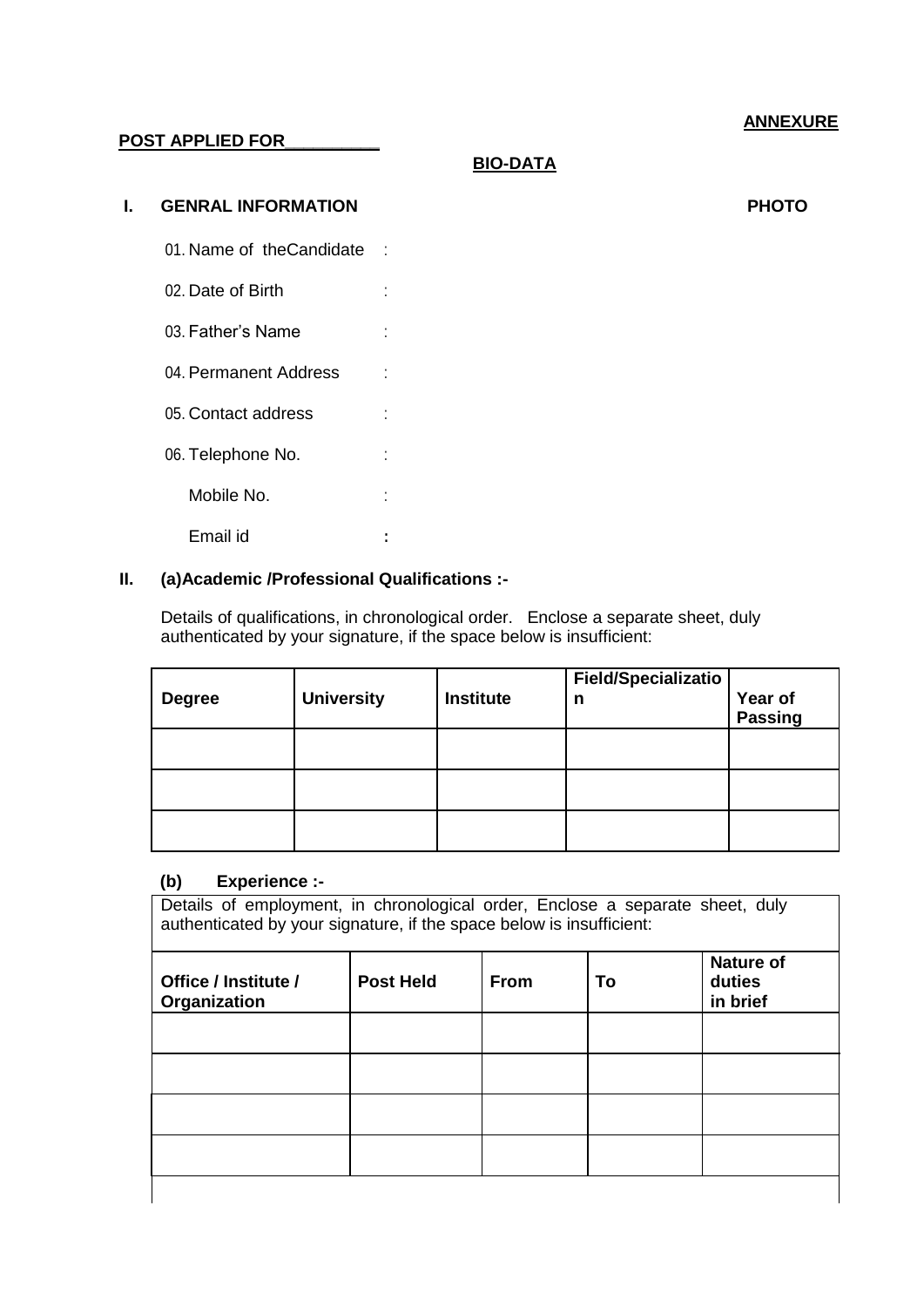# **ANNEXURE**

### **POST APPLIED FOR\_\_\_\_\_\_\_\_\_\_**

**BIO-DATA**

#### **I. GENRAL INFORMATION PHOTO**

- 01. Name of the Candidate :
- 02. Date of Birth :
- 03. Father's Name : :
- 04. Permanent Address :
- 05. Contact address :
- 
- 06. Telephone No.  $\qquad \qquad :$ Mobile No. **:**

Email id **:**

## **II. (a)Academic /Professional Qualifications :-**

Details of qualifications, in chronological order. Enclose a separate sheet, duly authenticated by your signature, if the space below is insufficient:

| <b>Degree</b> | <b>University</b> | Institute | <b>Field/Specializatio</b><br>n | <b>Year of<br/>Passing</b> |
|---------------|-------------------|-----------|---------------------------------|----------------------------|
|               |                   |           |                                 |                            |
|               |                   |           |                                 |                            |
|               |                   |           |                                 |                            |

#### **(b) Experience :-**

Details of employment, in chronological order, Enclose a separate sheet, duly authenticated by your signature, if the space below is insufficient:

| Office / Institute /<br>Organization | <b>Post Held</b> | From | To | <b>Nature of</b><br>duties<br>in brief |
|--------------------------------------|------------------|------|----|----------------------------------------|
|                                      |                  |      |    |                                        |
|                                      |                  |      |    |                                        |
|                                      |                  |      |    |                                        |
|                                      |                  |      |    |                                        |
|                                      |                  |      |    |                                        |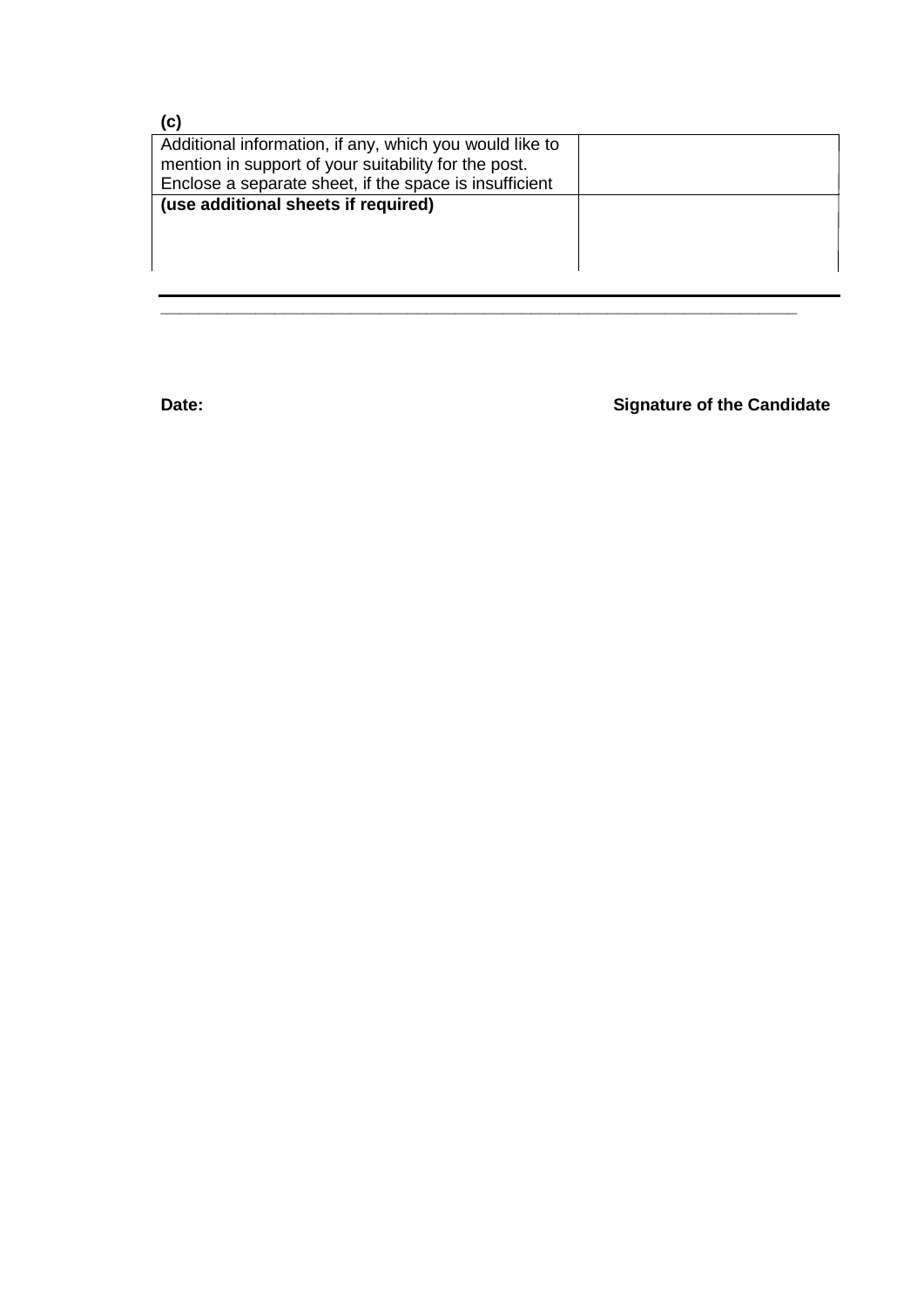| (c)                                                     |  |
|---------------------------------------------------------|--|
| Additional information, if any, which you would like to |  |
| mention in support of your suitability for the post.    |  |
| Enclose a separate sheet, if the space is insufficient  |  |
| (use additional sheets if required)                     |  |
|                                                         |  |
|                                                         |  |
|                                                         |  |
|                                                         |  |

**\_\_\_\_\_\_\_\_\_\_\_\_\_\_\_\_\_\_\_\_\_\_\_\_\_\_\_\_\_\_\_\_\_\_\_\_\_\_\_\_\_\_\_\_\_\_\_\_\_\_\_\_\_\_\_\_\_\_\_\_\_\_\_\_\_\_\_**

**Date: Date: Signature of the Candidate**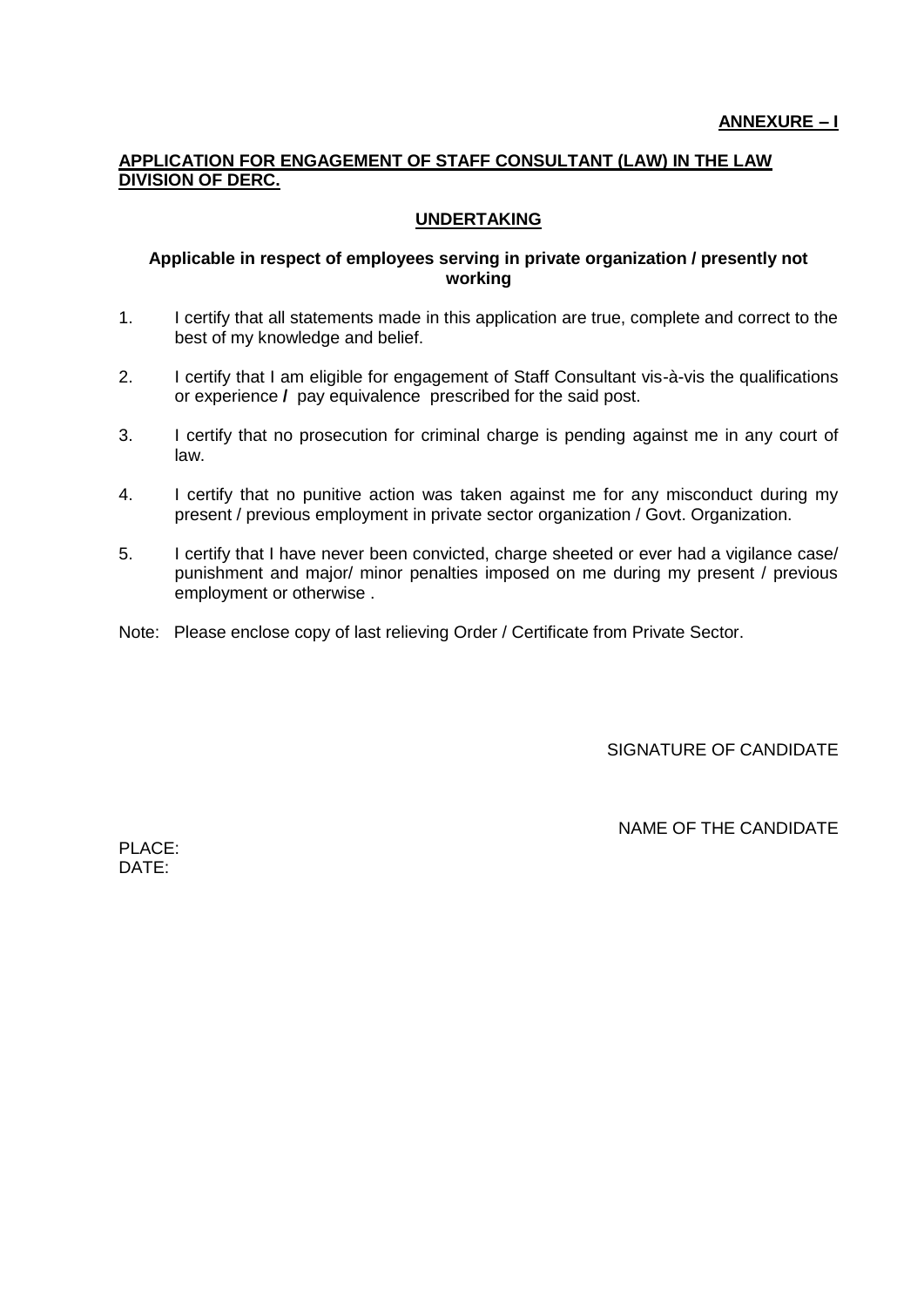## **APPLICATION FOR ENGAGEMENT OF STAFF CONSULTANT (LAW) IN THE LAW DIVISION OF DERC.**

## **UNDERTAKING**

#### **Applicable in respect of employees serving in private organization / presently not working**

- 1. I certify that all statements made in this application are true, complete and correct to the best of my knowledge and belief.
- 2. I certify that I am eligible for engagement of Staff Consultant vis-à-vis the qualifications or experience **/** pay equivalenceprescribed for the said post.
- 3. I certify that no prosecution for criminal charge is pending against me in any court of law.
- 4. I certify that no punitive action was taken against me for any misconduct during my present / previous employment in private sector organization / Govt. Organization.
- 5. I certify that I have never been convicted, charge sheeted or ever had a vigilance case/ punishment and major/ minor penalties imposed on me during my present / previous employment or otherwise .
- Note: Please enclose copy of last relieving Order / Certificate from Private Sector.

SIGNATURE OF CANDIDATE

NAME OF THE CANDIDATE

PLACE: DATE: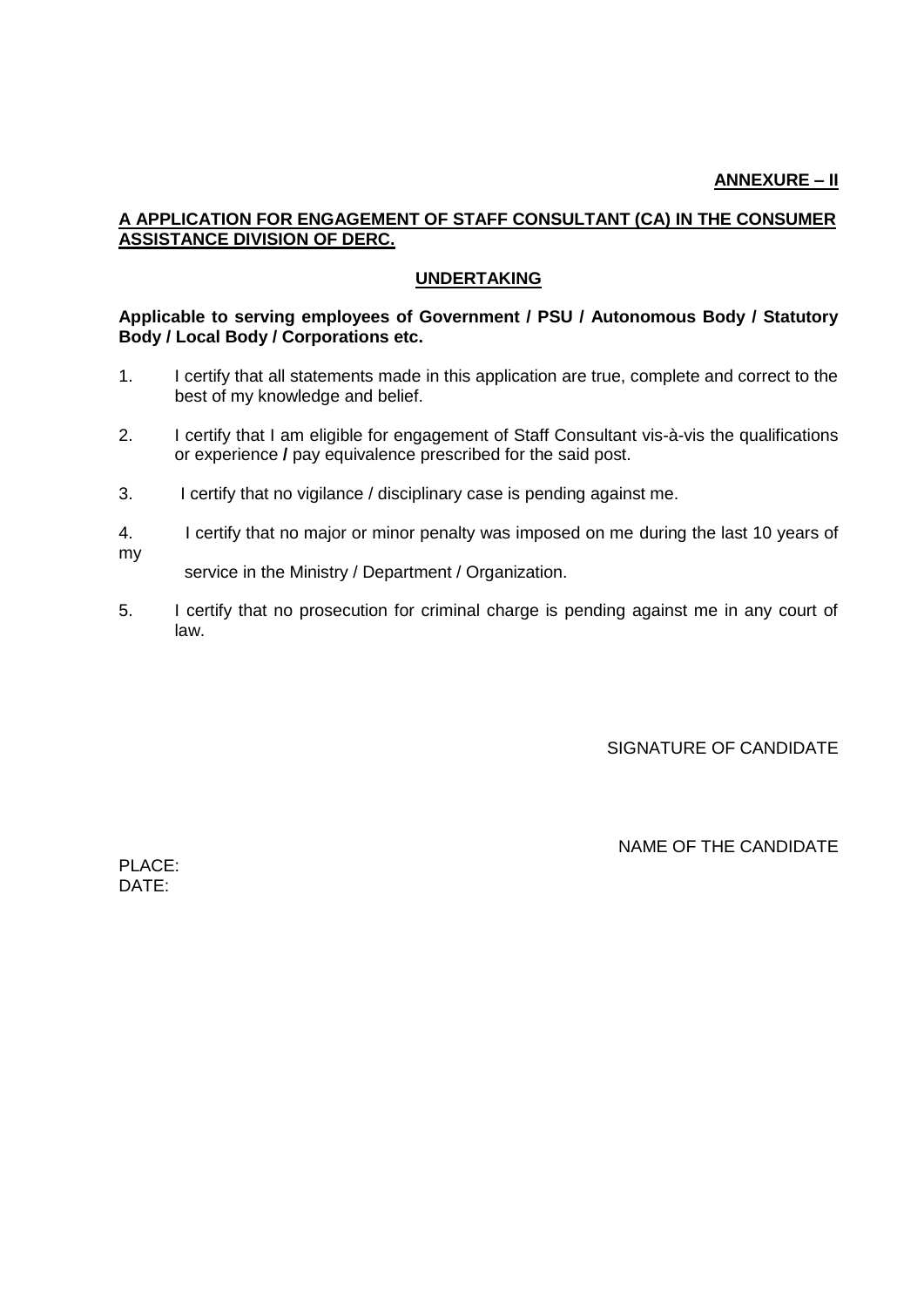## **A APPLICATION FOR ENGAGEMENT OF STAFF CONSULTANT (CA) IN THE CONSUMER ASSISTANCE DIVISION OF DERC.**

## **UNDERTAKING**

### **Applicable to serving employees of Government / PSU / Autonomous Body / Statutory Body / Local Body / Corporations etc.**

- 1. I certify that all statements made in this application are true, complete and correct to the best of my knowledge and belief.
- 2. I certify that I am eligible for engagement of Staff Consultant vis-à-vis the qualifications or experience **/** pay equivalence prescribed for the said post.
- 3. I certify that no vigilance / disciplinary case is pending against me.
- 4. I certify that no major or minor penalty was imposed on me during the last 10 years of my

service in the Ministry / Department / Organization.

5. I certify that no prosecution for criminal charge is pending against me in any court of law.

SIGNATURE OF CANDIDATE

NAME OF THE CANDIDATE

PLACE: DATE: